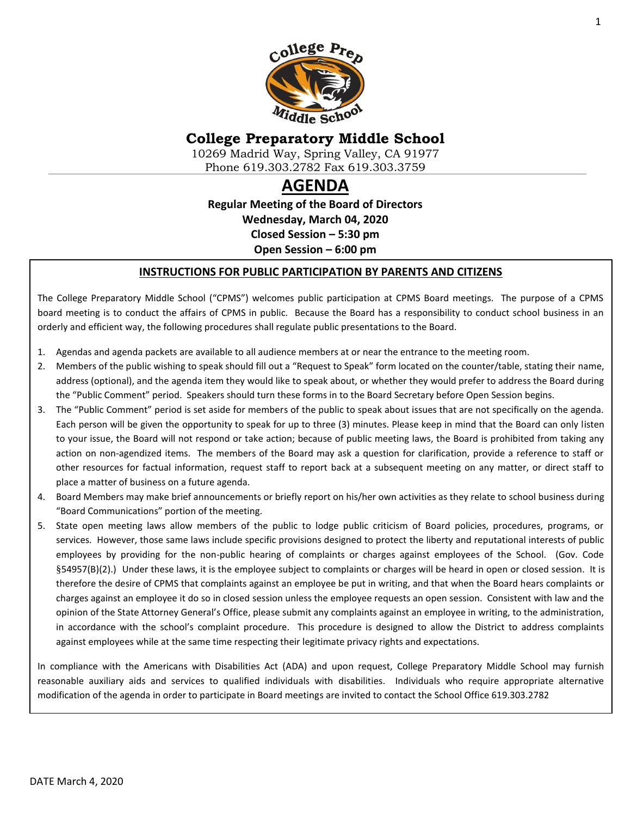

# **College Preparatory Middle School**

10269 Madrid Way, Spring Valley, CA 91977 Phone 619.303.2782 Fax 619.303.3759

# **AGENDA**

**Regular Meeting of the Board of Directors Wednesday, March 04, 2020 Closed Session – 5:30 pm Open Session – 6:00 pm**

#### **INSTRUCTIONS FOR PUBLIC PARTICIPATION BY PARENTS AND CITIZENS**

The College Preparatory Middle School ("CPMS") welcomes public participation at CPMS Board meetings. The purpose of a CPMS board meeting is to conduct the affairs of CPMS in public. Because the Board has a responsibility to conduct school business in an orderly and efficient way, the following procedures shall regulate public presentations to the Board.

- 1. Agendas and agenda packets are available to all audience members at or near the entrance to the meeting room.
- 2. Members of the public wishing to speak should fill out a "Request to Speak" form located on the counter/table, stating their name, address (optional), and the agenda item they would like to speak about, or whether they would prefer to address the Board during the "Public Comment" period. Speakers should turn these forms in to the Board Secretary before Open Session begins.
- 3. The "Public Comment" period is set aside for members of the public to speak about issues that are not specifically on the agenda. Each person will be given the opportunity to speak for up to three (3) minutes. Please keep in mind that the Board can only listen to your issue, the Board will not respond or take action; because of public meeting laws, the Board is prohibited from taking any action on non-agendized items. The members of the Board may ask a question for clarification, provide a reference to staff or other resources for factual information, request staff to report back at a subsequent meeting on any matter, or direct staff to place a matter of business on a future agenda.
- 4. Board Members may make brief announcements or briefly report on his/her own activities as they relate to school business during "Board Communications" portion of the meeting.
- 5. State open meeting laws allow members of the public to lodge public criticism of Board policies, procedures, programs, or services. However, those same laws include specific provisions designed to protect the liberty and reputational interests of public employees by providing for the non-public hearing of complaints or charges against employees of the School. (Gov. Code §54957(B)(2).) Under these laws, it is the employee subject to complaints or charges will be heard in open or closed session. It is therefore the desire of CPMS that complaints against an employee be put in writing, and that when the Board hears complaints or charges against an employee it do so in closed session unless the employee requests an open session. Consistent with law and the opinion of the State Attorney General's Office, please submit any complaints against an employee in writing, to the administration, in accordance with the school's complaint procedure. This procedure is designed to allow the District to address complaints against employees while at the same time respecting their legitimate privacy rights and expectations.

In compliance with the Americans with Disabilities Act (ADA) and upon request, College Preparatory Middle School may furnish reasonable auxiliary aids and services to qualified individuals with disabilities. Individuals who require appropriate alternative modification of the agenda in order to participate in Board meetings are invited to contact the School Office 619.303.2782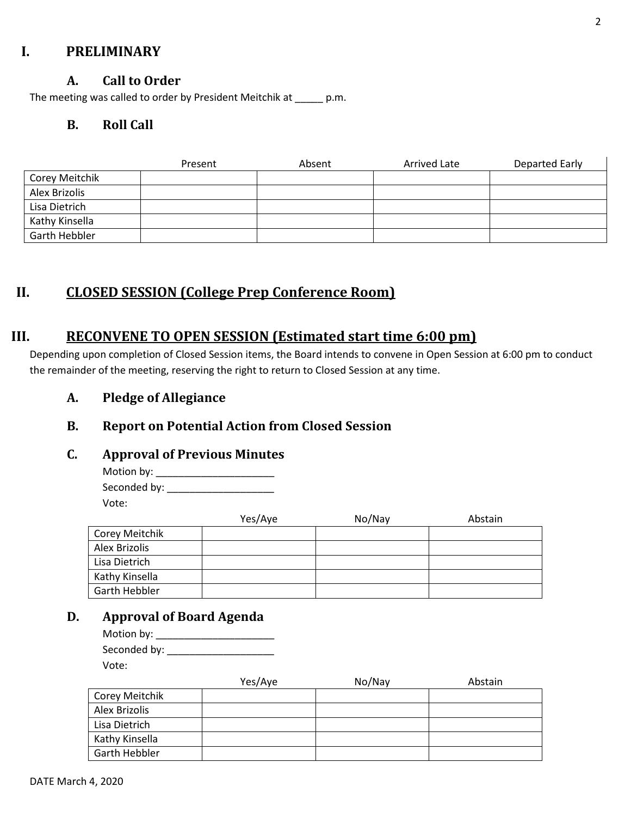### **I. PRELIMINARY**

#### **A. Call to Order**

The meeting was called to order by President Meitchik at \_\_\_\_\_ p.m.

### **B. Roll Call**

|                | Present | Absent | Arrived Late | Departed Early |
|----------------|---------|--------|--------------|----------------|
| Corey Meitchik |         |        |              |                |
| Alex Brizolis  |         |        |              |                |
| Lisa Dietrich  |         |        |              |                |
| Kathy Kinsella |         |        |              |                |
| Garth Hebbler  |         |        |              |                |

# **II. CLOSED SESSION (College Prep Conference Room)**

### **III. RECONVENE TO OPEN SESSION (Estimated start time 6:00 pm)**

Depending upon completion of Closed Session items, the Board intends to convene in Open Session at 6:00 pm to conduct the remainder of the meeting, reserving the right to return to Closed Session at any time.

### **A. Pledge of Allegiance**

# **B. Report on Potential Action from Closed Session**

#### **C. Approval of Previous Minutes**

Motion by: \_\_\_\_\_\_\_\_\_\_\_\_\_\_\_\_\_\_\_\_\_ Seconded by: \_\_\_\_\_\_\_\_\_\_\_\_\_\_\_\_\_\_\_ Vote:

|                | Yes/Aye | No/Nay | Abstain |
|----------------|---------|--------|---------|
| Corey Meitchik |         |        |         |
| Alex Brizolis  |         |        |         |
| Lisa Dietrich  |         |        |         |
| Kathy Kinsella |         |        |         |
| Garth Hebbler  |         |        |         |

# **D. Approval of Board Agenda**

| Motion by:   |  |
|--------------|--|
| Seconded by: |  |
| Vote:        |  |

|                      | Yes/Aye | No/Nay | Abstain |
|----------------------|---------|--------|---------|
| Corey Meitchik       |         |        |         |
| Alex Brizolis        |         |        |         |
| Lisa Dietrich        |         |        |         |
| Kathy Kinsella       |         |        |         |
| <b>Garth Hebbler</b> |         |        |         |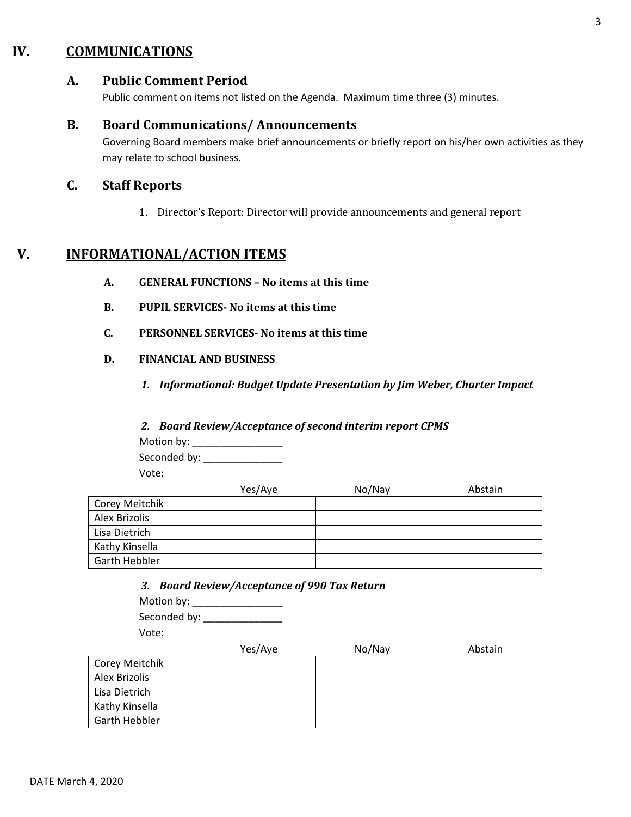# **IV. COMMUNICATIONS**

### **A. Public Comment Period**

Public comment on items not listed on the Agenda. Maximum time three (3) minutes.

#### **B. Board Communications/ Announcements**

Governing Board members make brief announcements or briefly report on his/her own activities as they may relate to school business.

### **C. Staff Reports**

1. Director's Report: Director will provide announcements and general report

# **V. INFORMATIONAL/ACTION ITEMS**

- **A. GENERAL FUNCTIONS – No items at this time**
- **B. PUPIL SERVICES- No items at this time**
- **C. PERSONNEL SERVICES- No items at this time**
- **D. FINANCIAL AND BUSINESS**
	- *1. Informational: Budget Update Presentation by Jim Weber, Charter Impact*

#### *2. Board Review/Acceptance of second interim report CPMS*

Motion by: \_\_\_\_\_\_\_\_\_\_\_\_\_\_\_\_ Seconded by: \_\_\_\_\_\_\_\_\_\_\_\_\_\_

Vote:

|                | Yes/Aye | No/Nay | Abstain |
|----------------|---------|--------|---------|
| Corey Meitchik |         |        |         |
| Alex Brizolis  |         |        |         |
| Lisa Dietrich  |         |        |         |
| Kathy Kinsella |         |        |         |
| Garth Hebbler  |         |        |         |

*3. Board Review/Acceptance of 990 Tax Return*

| Motion by:   |  |
|--------------|--|
| Seconded by: |  |
| Vote:        |  |

|                      | Yes/Aye | No/Nay | Abstain |
|----------------------|---------|--------|---------|
| Corey Meitchik       |         |        |         |
| Alex Brizolis        |         |        |         |
| Lisa Dietrich        |         |        |         |
| Kathy Kinsella       |         |        |         |
| <b>Garth Hebbler</b> |         |        |         |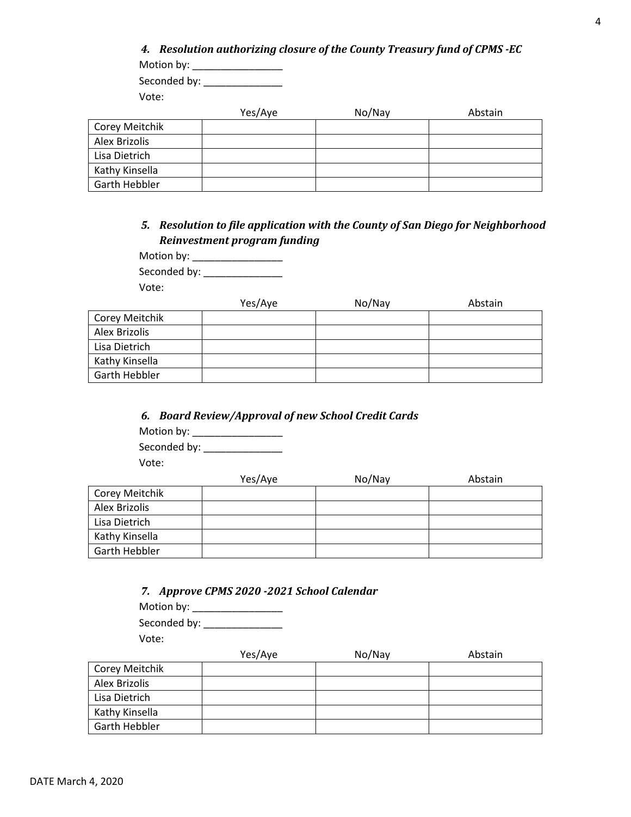| 4. Resolution authorizing closure of the County Treasury fund of CPMS -EC<br>Motion by: |         |        |         |
|-----------------------------------------------------------------------------------------|---------|--------|---------|
| Seconded by:                                                                            |         |        |         |
| Vote:                                                                                   |         |        |         |
|                                                                                         | Yes/Aye | No/Nay | Abstain |
| Corey Meitchik                                                                          |         |        |         |
| Alex Brizolis                                                                           |         |        |         |
| Lisa Dietrich                                                                           |         |        |         |
| Kathy Kinsella                                                                          |         |        |         |
| Garth Hebbler                                                                           |         |        |         |

### *5. Resolution to file application with the County of San Diego for Neighborhood Reinvestment program funding*

| Motion by:   |  |
|--------------|--|
| Seconded by: |  |

Vote:

|                      | Yes/Aye | No/Nay | Abstain |
|----------------------|---------|--------|---------|
| Corey Meitchik       |         |        |         |
| Alex Brizolis        |         |        |         |
| Lisa Dietrich        |         |        |         |
| Kathy Kinsella       |         |        |         |
| <b>Garth Hebbler</b> |         |        |         |

### *6. Board Review/Approval of new School Credit Cards*

Motion by: \_\_\_\_\_\_\_\_\_\_\_\_\_\_\_\_ Seconded by: \_\_\_\_\_\_\_\_\_\_\_\_\_\_ Vote:

|                | Yes/Aye | No/Nay | Abstain |
|----------------|---------|--------|---------|
| Corey Meitchik |         |        |         |
| Alex Brizolis  |         |        |         |
| Lisa Dietrich  |         |        |         |
| Kathy Kinsella |         |        |         |
| Garth Hebbler  |         |        |         |

|  |  |  | 7. Approve CPMS 2020 -2021 School Calendar |
|--|--|--|--------------------------------------------|
|  |  |  |                                            |

Motion by: \_\_\_\_\_\_\_\_\_\_\_\_\_\_\_\_ Seconded by: \_\_\_\_\_\_\_\_\_\_\_\_\_\_\_\_\_\_ Vote:

|                | Yes/Aye | No/Nay | Abstain |
|----------------|---------|--------|---------|
| Corey Meitchik |         |        |         |
| Alex Brizolis  |         |        |         |
| Lisa Dietrich  |         |        |         |
| Kathy Kinsella |         |        |         |
| Garth Hebbler  |         |        |         |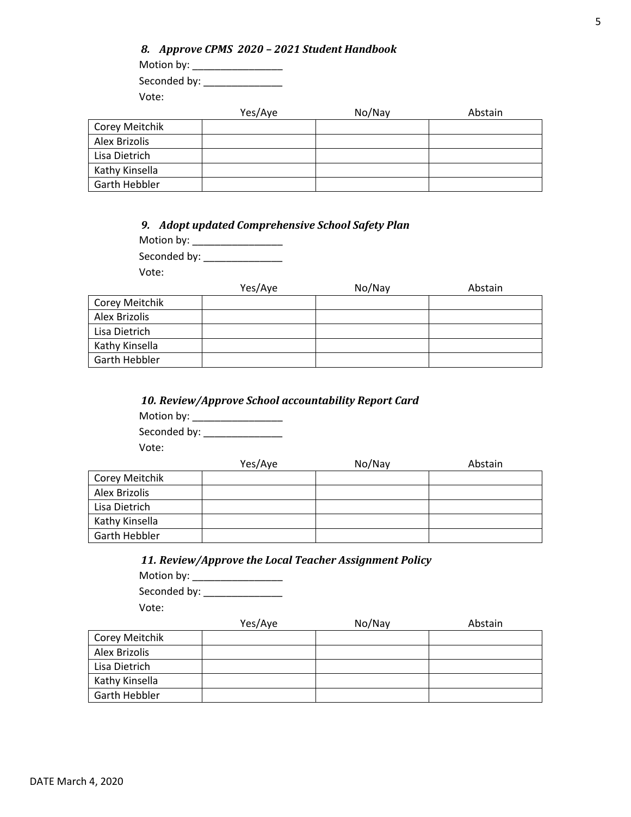| 8. Approve CPMS 2020 - 2021 Student Handbook |         |        |         |  |  |
|----------------------------------------------|---------|--------|---------|--|--|
| Motion by:                                   |         |        |         |  |  |
| Seconded by:                                 |         |        |         |  |  |
| Vote:                                        |         |        |         |  |  |
|                                              | Yes/Aye | No/Nay | Abstain |  |  |
| itchik                                       |         |        |         |  |  |
| $\cdot$                                      |         |        |         |  |  |

| Corey Meitchik |  |  |
|----------------|--|--|
| Alex Brizolis  |  |  |
| Lisa Dietrich  |  |  |
| Kathy Kinsella |  |  |
| Garth Hebbler  |  |  |

*9. Adopt updated Comprehensive School Safety Plan* 

Motion by: \_\_\_\_\_\_\_\_\_\_\_\_\_\_\_\_ Seconded by: \_\_\_\_\_\_\_\_\_\_\_\_\_\_

Vote:

|                | Yes/Aye | No/Nay | Abstain |
|----------------|---------|--------|---------|
| Corey Meitchik |         |        |         |
| Alex Brizolis  |         |        |         |
| Lisa Dietrich  |         |        |         |
| Kathy Kinsella |         |        |         |
| Garth Hebbler  |         |        |         |

|  |  | 10. Review/Approve School accountability Report Card |  |
|--|--|------------------------------------------------------|--|
|  |  |                                                      |  |

Motion by: \_\_\_\_\_\_\_\_\_\_\_\_\_\_\_\_

Seconded by: \_\_\_\_\_\_\_\_\_\_\_\_\_\_

Vote:

|                | Yes/Aye | No/Nay | Abstain |
|----------------|---------|--------|---------|
| Corey Meitchik |         |        |         |
| Alex Brizolis  |         |        |         |
| Lisa Dietrich  |         |        |         |
| Kathy Kinsella |         |        |         |
| Garth Hebbler  |         |        |         |

### *11. Review/Approve the Local Teacher Assignment Policy*

Motion by: \_\_\_\_\_\_\_\_\_\_\_\_\_\_\_\_ Seconded by: \_\_\_\_\_\_\_\_\_\_\_\_\_\_ Vote:

|                | Yes/Aye | No/Nay | Abstain |
|----------------|---------|--------|---------|
| Corey Meitchik |         |        |         |
| Alex Brizolis  |         |        |         |
| Lisa Dietrich  |         |        |         |
| Kathy Kinsella |         |        |         |
| Garth Hebbler  |         |        |         |